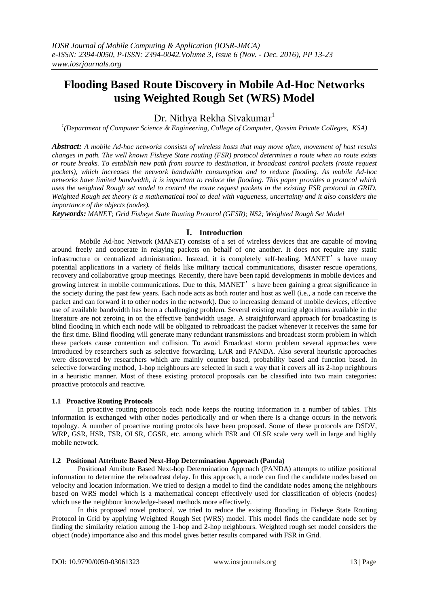## **Flooding Based Route Discovery in Mobile Ad-Hoc Networks using Weighted Rough Set (WRS) Model**

Dr. Nithya Rekha Sivakumar<sup>1</sup>

*1 (Department of Computer Science & Engineering, College of Computer, Qassim Private Colleges, KSA)*

*Abstract: A mobile Ad-hoc networks consists of wireless hosts that may move often, movement of host results changes in path. The well known Fisheye State routing (FSR) protocol determines a route when no route exists or route breaks. To establish new path from source to destination, it broadcast control packets (route request packets), which increases the network bandwidth consumption and to reduce flooding. As mobile Ad-hoc networks have limited bandwidth, it is important to reduce the flooding. This paper provides a protocol which uses the weighted Rough set model to control the route request packets in the existing FSR protocol in GRID. Weighted Rough set theory is a mathematical tool to deal with vagueness, uncertainty and it also considers the importance of the objects (nodes).*

*Keywords: MANET; Grid Fisheye State Routing Protocol (GFSR); NS2; Weighted Rough Set Model*

#### **I. Introduction**

Mobile Ad-hoc Network (MANET) consists of a set of wireless devices that are capable of moving around freely and cooperate in relaying packets on behalf of one another. It does not require any static infrastructure or centralized administration. Instead, it is completely self-healing. MANET's have many potential applications in a variety of fields like military tactical communications, disaster rescue operations, recovery and collaborative group meetings. Recently, there have been rapid developments in mobile devices and growing interest in mobile communications. Due to this, MANET's have been gaining a great significance in the society during the past few years. Each node acts as both router and host as well (i.e., a node can receive the packet and can forward it to other nodes in the network). Due to increasing demand of mobile devices, effective use of available bandwidth has been a challenging problem. Several existing routing algorithms available in the literature are not zeroing in on the effective bandwidth usage. A straightforward approach for broadcasting is blind flooding in which each node will be obligated to rebroadcast the packet whenever it receives the same for the first time. Blind flooding will generate many redundant transmissions and broadcast storm problem in which these packets cause contention and collision. To avoid Broadcast storm problem several approaches were introduced by researchers such as selective forwarding, LAR and PANDA. Also several heuristic approaches were discovered by researchers which are mainly counter based, probability based and function based. In selective forwarding method, 1-hop neighbours are selected in such a way that it covers all its 2-hop neighbours in a heuristic manner. Most of these existing protocol proposals can be classified into two main categories: proactive protocols and reactive.

#### **1.1 Proactive Routing Protocols**

In proactive routing protocols each node keeps the routing information in a number of tables. This information is exchanged with other nodes periodically and or when there is a change occurs in the network topology. A number of proactive routing protocols have been proposed. Some of these protocols are DSDV, WRP, GSR, HSR, FSR, OLSR, CGSR, etc. among which FSR and OLSR scale very well in large and highly mobile network.

#### **1.2 Positional Attribute Based Next-Hop Determination Approach (Panda)**

Positional Attribute Based Next-hop Determination Approach (PANDA) attempts to utilize positional information to determine the rebroadcast delay. In this approach, a node can find the candidate nodes based on velocity and location information. We tried to design a model to find the candidate nodes among the neighbours based on WRS model which is a mathematical concept effectively used for classification of objects (nodes) which use the neighbour knowledge-based methods more effectively.

In this proposed novel protocol, we tried to reduce the existing flooding in Fisheye State Routing Protocol in Grid by applying Weighted Rough Set (WRS) model. This model finds the candidate node set by finding the similarity relation among the 1-hop and 2-hop neighbours. Weighted rough set model considers the object (node) importance also and this model gives better results compared with FSR in Grid.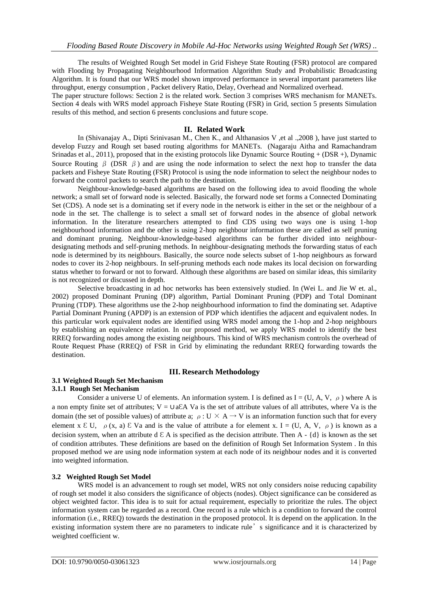The results of Weighted Rough Set model in Grid Fisheye State Routing (FSR) protocol are compared with Flooding by Propagating Neighbourhood Information Algorithm Study and Probabilistic Broadcasting Algorithm. It is found that our WRS model shown improved performance in several important parameters like throughput, energy consumption , Packet delivery Ratio, Delay, Overhead and Normalized overhead.

The paper structure follows: Section 2 is the related work. Section 3 comprises WRS mechanism for MANETs. Section 4 deals with WRS model approach Fisheye State Routing (FSR) in Grid, section 5 presents Simulation results of this method, and section 6 presents conclusions and future scope.

#### **II. Related Work**

In (Shivanajay A., Dipti Srinivasan M., Chen K., and Althanasios V ,et al .,2008 ), have just started to develop Fuzzy and Rough set based routing algorithms for MANETs. (Nagaraju Aitha and Ramachandram Srinadas et al., 2011), proposed that in the existing protocols like Dynamic Source Routing + (DSR +), Dynamic Source Routing  $\beta$  (DSR  $\beta$ ) and are using the node information to select the next hop to transfer the data packets and Fisheye State Routing (FSR) Protocol is using the node information to select the neighbour nodes to forward the control packets to search the path to the destination.

 Neighbour-knowledge-based algorithms are based on the following idea to avoid flooding the whole network; a small set of forward node is selected. Basically, the forward node set forms a Connected Dominating Set (CDS). A node set is a dominating set if every node in the network is either in the set or the neighbour of a node in the set. The challenge is to select a small set of forward nodes in the absence of global network information. In the literature researchers attempted to find CDS using two ways one is using 1-hop neighbourhood information and the other is using 2-hop neighbour information these are called as self pruning and dominant pruning. Neighbour-knowledge-based algorithms can be further divided into neighbourdesignating methods and self-pruning methods. In neighbour-designating methods the forwarding status of each node is determined by its neighbours. Basically, the source node selects subset of 1-hop neighbours as forward nodes to cover its 2-hop neighbours. In self-pruning methods each node makes its local decision on forwarding status whether to forward or not to forward. Although these algorithms are based on similar ideas, this similarity is not recognized or discussed in depth.

 Selective broadcasting in ad hoc networks has been extensively studied. In (Wei L. and Jie W et. al., 2002) proposed Dominant Pruning (DP) algorithm, Partial Dominant Pruning (PDP) and Total Dominant Pruning (TDP). These algorithms use the 2-hop neighbourhood information to find the dominating set. Adaptive Partial Dominant Pruning (APDP) is an extension of PDP which identifies the adjacent and equivalent nodes. In this particular work equivalent nodes are identified using WRS model among the 1-hop and 2-hop neighbours by establishing an equivalence relation. In our proposed method, we apply WRS model to identify the best RREQ forwarding nodes among the existing neighbours. This kind of WRS mechanism controls the overhead of Route Request Phase (RREQ) of FSR in Grid by eliminating the redundant RREQ forwarding towards the destination.

# **3.1 Weighted Rough Set Mechanism**

#### **III. Research Methodology**

### **3.1.1 Rough Set Mechanism**

Consider a universe U of elements. An information system. I is defined as  $I = (U, A, V, \rho)$  where A is a non empty finite set of attributes;  $V = UaEA$  Va is the set of attribute values of all attributes, where Va is the domain (the set of possible values) of attribute a;  $\rho: U \times A \rightarrow V$  is an information function such that for every element  $x \in U$ ,  $\rho(x, a) \in V$ a and is the value of attribute a for element x. I = (U, A, V,  $\rho$ ) is known as a decision system, when an attribute d  $\epsilon A$  is specified as the decision attribute. Then A - {d} is known as the set of condition attributes. These definitions are based on the definition of Rough Set Information System . In this proposed method we are using node information system at each node of its neighbour nodes and it is converted into weighted information.

#### **3.2 Weighted Rough Set Model**

WRS model is an advancement to rough set model, WRS not only considers noise reducing capability of rough set model it also considers the significance of objects (nodes). Object significance can be considered as object weighted factor. This idea is to suit for actual requirement, especially to prioritize the rules. The object information system can be regarded as a record. One record is a rule which is a condition to forward the control information (i.e., RREQ) towards the destination in the proposed protocol. It is depend on the application. In the existing information system there are no parameters to indicate rule's significance and it is characterized by weighted coefficient w.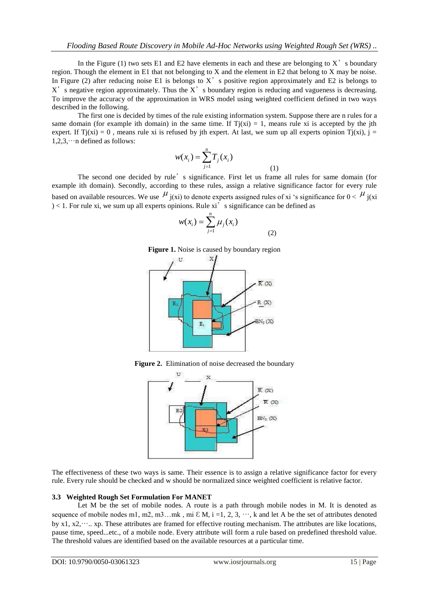In the Figure (1) two sets E1 and E2 have elements in each and these are belonging to X's boundary region. Though the element in E1 that not belonging to X and the element in E2 that belong to X may be noise. In Figure (2) after reducing noise E1 is belongs to X' s positive region approximately and E2 is belongs to  $X'$  s negative region approximately. Thus the  $X'$  s boundary region is reducing and vagueness is decreasing. To improve the accuracy of the approximation in WRS model using weighted coefficient defined in two ways described in the following.

 The first one is decided by times of the rule existing information system. Suppose there are n rules for a same domain (for example ith domain) in the same time. If  $T<sub>i</sub>(xi) = 1$ , means rule xi is accepted by the jth expert. If  $Tj(xi) = 0$ , means rule xi is refused by jth expert. At last, we sum up all experts opinion  $Tj(xi)$ , j =  $1,2,3,\dots$ n defined as follows:

$$
w(x_i) = \sum_{j=1}^{n} T_j(x_i)
$$
\n(1)

The second one decided by rule's significance. First let us frame all rules for same domain (for example ith domain). Secondly, according to these rules, assign a relative significance factor for every rule based on available resources. We use  $\mu_{j(xi)}$  to denote experts assigned rules of xi 's significance for  $0 < \mu_{j(xi)}$  $\geq$  1. For rule xi, we sum up all experts opinions. Rule xi, s significance can be defined as

$$
w(x_i) = \sum_{j=1}^{n} \mu_j(x_i)
$$
 (2)

**Figure 1.** Noise is caused by boundary region



**Figure 2.** Elimination of noise decreased the boundary



The effectiveness of these two ways is same. Their essence is to assign a relative significance factor for every rule. Every rule should be checked and w should be normalized since weighted coefficient is relative factor.

#### **3.3 Weighted Rough Set Formulation For MANET**

Let M be the set of mobile nodes. A route is a path through mobile nodes in M. It is denoted as sequence of mobile nodes m1, m2, m3...mk, mi  $\epsilon$  M, i =1, 2, 3,  $\cdots$ , k and let A be the set of attributes denoted by  $x1, x2, \dots$ . xp. These attributes are framed for effective routing mechanism. The attributes are like locations, pause time, speed...etc., of a mobile node. Every attribute will form a rule based on predefined threshold value. The threshold values are identified based on the available resources at a particular time.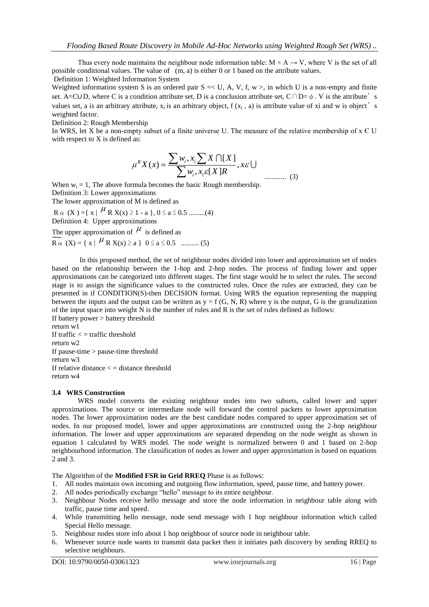Thus every node maintains the neighbour node information table:  $M \times A \rightarrow V$ , where V is the set of all possible conditional values. The value of  $(m, a)$  is either 0 or 1 based on the attribute values. Definition 1: Weighted Information System

Weighted information system S is an ordered pair  $S = < U$ , A, V, f, w >, in which U is a non-empty and finite set. A=C∪D, where C is a condition attribute set, D is a conclusion attribute set, C∩D= $\phi$ . V is the attribute's values set, a is an arbitrary attribute,  $x_i$  is an arbitrary object, f  $(x_i, a)$  is attribute value of xi and w is object's weighted factor.

Definition 2: Rough Membership

In WRS, let X be a non-empty subset of a finite universe U. The measure of the relative membership of  $x \in U$ with respect to X is defined as:

$$
\mu^{R} X(x) = \frac{\sum w_{i}, x_{i} \sum X \cap [X]}{\sum w_{i}, x_{i} \in [X]R}, x \in \bigcup
$$

When  $w_i = 1$ , The above formula becomes the basic Rough membership.

Definition 3: Lower approximations

The lower approximation of M is defined as

 $R \alpha$  (X) ={ x |  $\mu$  R X(x) ≥ 1 - a }, 0 ≤ a ≤ 0.5 .........(4)

Definition 4: Upper approximations

The upper approximation of  $\mu$  is defined as

 $R \alpha$  (X) = { x |  $^{\mu}$  R X(x) ≥ a } 0 ≤ a ≤ 0.5 ........... (5)

In this proposed method, the set of neighbour nodes divided into lower and approximation set of nodes based on the relationship between the 1-hop and 2-hop nodes. The process of finding lower and upper approximations can be categorized into different stages. The first stage would be to select the rules. The second stage is to assign the significance values to the constructed rules. Once the rules are extracted, they can be presented in if CONDITION(S)-then DECISION format. Using WRS the equation representing the mapping between the inputs and the output can be written as  $y = f(G, N, R)$  where y is the output, G is the granulization of the input space into weight N is the number of rules and R is the set of rules defined as follows: If battery power > battery threshold

return w1 If traffic  $\le$   $=$  traffic threshold return w2 If pause-time > pause-time threshold return w3 If relative distance  $\leq$  = distance threshold return w4

#### **3.4 WRS Construction**

WRS model converts the existing neighbour nodes into two subsets, called lower and upper approximations. The source or intermediate node will forward the control packets to lower approximation nodes. The lower approximation nodes are the best candidate nodes compared to upper approximation set of nodes. In our proposed model, lower and upper approximations are constructed using the 2-hop neighbour information. The lower and upper approximations are separated depending on the node weight as shown in equation 1 calculated by WRS model. The node weight is normalized between 0 and 1 based on 2-hop neighbourhood information. The classification of nodes as lower and upper approximation is based on equations 2 and 3.

The Algorithm of the **Modified FSR in Grid RREQ** Phase is as follows:

- 1. All nodes maintain own incoming and outgoing flow information, speed, pause time, and battery power.
- 2. All nodes periodically exchange "hello" message to its entire neighbour.
- 3. Neighbour Nodes receive hello message and store the node information in neighbour table along with traffic, pause time and speed.
- 4. While transmitting hello message, node send message with 1 hop neighbour information which called Special Hello message.
- 5. Neighbour nodes store info about 1 hop neighbour of source node in neighbour table.
- 6. Whenever source node wants to transmit data packet then it initiates path discovery by sending RREQ to selective neighbours.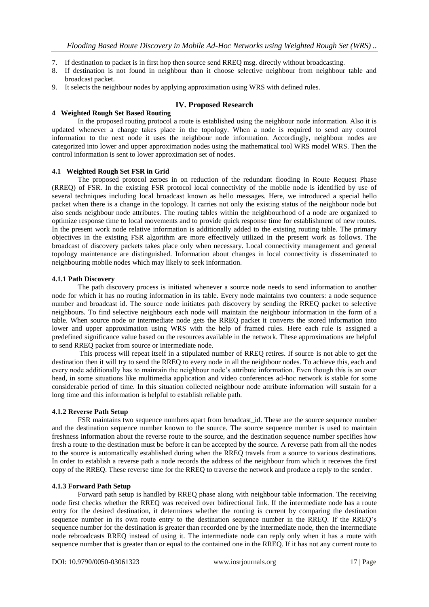- 7. If destination to packet is in first hop then source send RREQ msg. directly without broadcasting.
- 8. If destination is not found in neighbour than it choose selective neighbour from neighbour table and broadcast packet.
- 9. It selects the neighbour nodes by applying approximation using WRS with defined rules.

#### **IV. Proposed Research**

#### **4 Weighted Rough Set Based Routing**

In the proposed routing protocol a route is established using the neighbour node information. Also it is updated whenever a change takes place in the topology. When a node is required to send any control information to the next node it uses the neighbour node information. Accordingly, neighbour nodes are categorized into lower and upper approximation nodes using the mathematical tool WRS model WRS. Then the control information is sent to lower approximation set of nodes.

#### **4.1 Weighted Rough Set FSR in Grid**

The proposed protocol zeroes in on reduction of the redundant flooding in Route Request Phase (RREQ) of FSR. In the existing FSR protocol local connectivity of the mobile node is identified by use of several techniques including local broadcast known as hello messages. Here, we introduced a special hello packet when there is a change in the topology. It carries not only the existing status of the neighbour node but also sends neighbour node attributes. The routing tables within the neighbourhood of a node are organized to optimize response time to local movements and to provide quick response time for establishment of new routes. In the present work node relative information is additionally added to the existing routing table. The primary objectives in the existing FSR algorithm are more effectively utilized in the present work as follows. The broadcast of discovery packets takes place only when necessary. Local connectivity management and general topology maintenance are distinguished. Information about changes in local connectivity is disseminated to neighbouring mobile nodes which may likely to seek information.

#### **4.1.1 Path Discovery**

The path discovery process is initiated whenever a source node needs to send information to another node for which it has no routing information in its table. Every node maintains two counters: a node sequence number and broadcast id. The source node initiates path discovery by sending the RREQ packet to selective neighbours. To find selective neighbours each node will maintain the neighbour information in the form of a table. When source node or intermediate node gets the RREQ packet it converts the stored information into lower and upper approximation using WRS with the help of framed rules. Here each rule is assigned a predefined significance value based on the resources available in the network. These approximations are helpful to send RREQ packet from source or intermediate node.

 This process will repeat itself in a stipulated number of RREQ retires. If source is not able to get the destination then it will try to send the RREQ to every node in all the neighbour nodes. To achieve this, each and every node additionally has to maintain the neighbour node"s attribute information. Even though this is an over head, in some situations like multimedia application and video conferences ad-hoc network is stable for some considerable period of time. In this situation collected neighbour node attribute information will sustain for a long time and this information is helpful to establish reliable path.

#### **4.1.2 Reverse Path Setup**

FSR maintains two sequence numbers apart from broadcast\_id. These are the source sequence number and the destination sequence number known to the source. The source sequence number is used to maintain freshness information about the reverse route to the source, and the destination sequence number specifies how fresh a route to the destination must be before it can be accepted by the source. A reverse path from all the nodes to the source is automatically established during when the RREQ travels from a source to various destinations. In order to establish a reverse path a node records the address of the neighbour from which it receives the first copy of the RREQ. These reverse time for the RREQ to traverse the network and produce a reply to the sender.

#### **4.1.3 Forward Path Setup**

Forward path setup is handled by RREQ phase along with neighbour table information. The receiving node first checks whether the RREQ was received over bidirectional link. If the intermediate node has a route entry for the desired destination, it determines whether the routing is current by comparing the destination sequence number in its own route entry to the destination sequence number in the RREQ. If the RREQ"s sequence number for the destination is greater than recorded one by the intermediate node, then the intermediate node rebroadcasts RREQ instead of using it. The intermediate node can reply only when it has a route with sequence number that is greater than or equal to the contained one in the RREQ. If it has not any current route to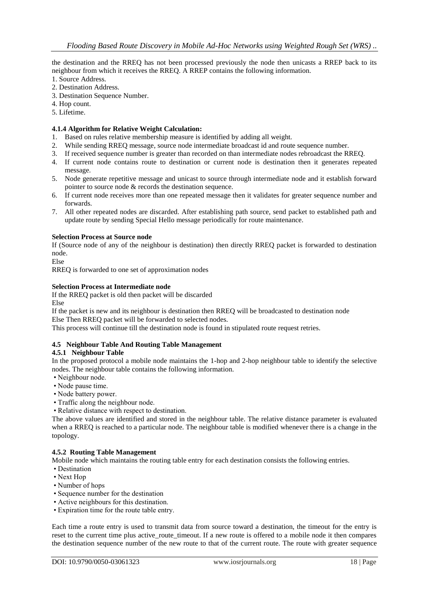the destination and the RREQ has not been processed previously the node then unicasts a RREP back to its neighbour from which it receives the RREQ. A RREP contains the following information.

- 1. Source Address.
- 2. Destination Address.
- 3. Destination Sequence Number.
- 4. Hop count.
- 5. Lifetime.

#### **4.1.4 Algorithm for Relative Weight Calculation:**

- 1. Based on rules relative membership measure is identified by adding all weight.
- 2. While sending RREQ message, source node intermediate broadcast id and route sequence number.
- 3. If received sequence number is greater than recorded on than intermediate nodes rebroadcast the RREQ.
- 4. If current node contains route to destination or current node is destination then it generates repeated message.
- 5. Node generate repetitive message and unicast to source through intermediate node and it establish forward pointer to source node & records the destination sequence.
- 6. If current node receives more than one repeated message then it validates for greater sequence number and forwards.
- 7. All other repeated nodes are discarded. After establishing path source, send packet to established path and update route by sending Special Hello message periodically for route maintenance.

#### **Selection Process at Source node**

If (Source node of any of the neighbour is destination) then directly RREQ packet is forwarded to destination node.

Else

RREQ is forwarded to one set of approximation nodes

#### **Selection Process at Intermediate node**

If the RREQ packet is old then packet will be discarded

Else

If the packet is new and its neighbour is destination then RREQ will be broadcasted to destination node Else Then RREQ packet will be forwarded to selected nodes.

This process will continue till the destination node is found in stipulated route request retries.

#### **4.5 Neighbour Table And Routing Table Management**

#### **4.5.1 Neighbour Table**

In the proposed protocol a mobile node maintains the 1-hop and 2-hop neighbour table to identify the selective nodes. The neighbour table contains the following information.

- Neighbour node.
- Node pause time.
- Node battery power.
- Traffic along the neighbour node.
- Relative distance with respect to destination.

The above values are identified and stored in the neighbour table. The relative distance parameter is evaluated when a RREQ is reached to a particular node. The neighbour table is modified whenever there is a change in the topology.

#### **4.5.2 Routing Table Management**

Mobile node which maintains the routing table entry for each destination consists the following entries.

- Destination
- Next Hop
- Number of hops
- Sequence number for the destination
- Active neighbours for this destination.
- Expiration time for the route table entry.

Each time a route entry is used to transmit data from source toward a destination, the timeout for the entry is reset to the current time plus active\_route\_timeout. If a new route is offered to a mobile node it then compares the destination sequence number of the new route to that of the current route. The route with greater sequence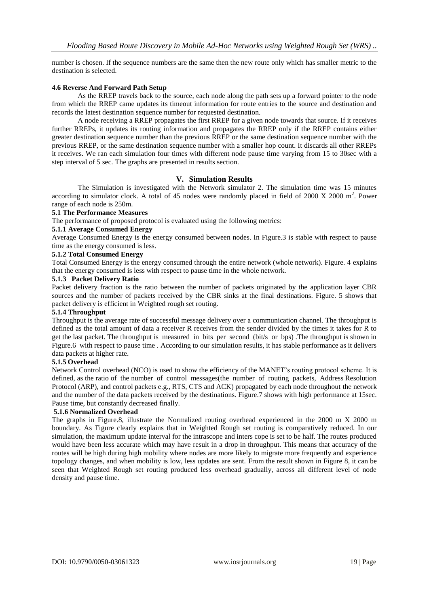number is chosen. If the sequence numbers are the same then the new route only which has smaller metric to the destination is selected.

#### **4.6 Reverse And Forward Path Setup**

As the RREP travels back to the source, each node along the path sets up a forward pointer to the node from which the RREP came updates its timeout information for route entries to the source and destination and records the latest destination sequence number for requested destination.

 A node receiving a RREP propagates the first RREP for a given node towards that source. If it receives further RREPs, it updates its routing information and propagates the RREP only if the RREP contains either greater destination sequence number than the previous RREP or the same destination sequence number with the previous RREP, or the same destination sequence number with a smaller hop count. It discards all other RREPs it receives. We ran each simulation four times with different node pause time varying from 15 to 30sec with a step interval of 5 sec. The graphs are presented in results section.

#### **V. Simulation Results**

The Simulation is investigated with the Network simulator 2. The simulation time was 15 minutes according to simulator clock. A total of 45 nodes were randomly placed in field of 2000 X 2000  $\text{m}^2$ . Power range of each node is 250m.

#### **5.1 The Performance Measures**

The performance of proposed protocol is evaluated using the following metrics:

#### **5.1.1 Average Consumed Energy**

Average Consumed Energy is the energy consumed between nodes. In Figure.3 is stable with respect to pause time as the energy consumed is less.

#### **5.1.2 Total Consumed Energy**

Total Consumed Energy is the energy consumed through the entire network (whole network). Figure. 4 explains that the energy consumed is less with respect to pause time in the whole network.

#### **5.1.3 Packet Delivery Ratio**

Packet delivery fraction is the ratio between the number of packets originated by the application layer CBR sources and the number of packets received by the CBR sinks at the final destinations. Figure. 5 shows that packet delivery is efficient in Weighted rough set routing.

#### **5.1.4 Throughput**

Throughput is the average rate of successful message delivery over a communication channel. The throughput is defined as the total amount of data a receiver R receives from the sender divided by the times it takes for R to get the last packet. The throughput is measured in bits per second (bit/s or bps) .The throughput is shown in Figure.6 with respect to pause time . According to our simulation results, it has stable performance as it delivers data packets at higher rate.

#### **5.1.5 Overhead**

Network Control overhead (NCO) is used to show the efficiency of the MANET's routing protocol scheme. It is defined, as the ratio of the number of control messages(the number of routing packets, Address Resolution Protocol (ARP), and control packets e.g., RTS, CTS and ACK) propagated by each node throughout the network and the number of the data packets received by the destinations. Figure.7 shows with high performance at 15sec. Pause time, but constantly decreased finally.

#### **5.1.6 Normalized Overhead**

The graphs in Figure.8, illustrate the Normalized routing overhead experienced in the 2000 m X 2000 m boundary. As Figure clearly explains that in Weighted Rough set routing is comparatively reduced. In our simulation, the maximum update interval for the intrascope and inters cope is set to be half. The routes produced would have been less accurate which may have result in a drop in throughput. This means that accuracy of the routes will be high during high mobility where nodes are more likely to migrate more frequently and experience topology changes, and when mobility is low, less updates are sent. From the result shown in Figure 8, it can be seen that Weighted Rough set routing produced less overhead gradually, across all different level of node density and pause time.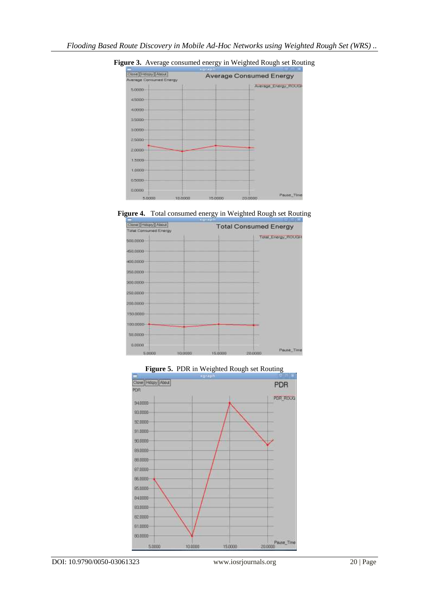|                         |         | xgraph                         |         |                        |  |  |
|-------------------------|---------|--------------------------------|---------|------------------------|--|--|
| Clase   Hocay   About   |         | <b>Average Consumed Energy</b> |         |                        |  |  |
| Average Consumed Energy |         |                                |         |                        |  |  |
| 5.0000                  |         |                                |         | Average Energy PIOLICH |  |  |
| 45080                   |         |                                |         |                        |  |  |
| 4,0000                  |         |                                |         |                        |  |  |
| 3,5080                  |         |                                |         |                        |  |  |
| 30000                   |         |                                |         |                        |  |  |
| 25000                   |         |                                |         |                        |  |  |
| 2.0080                  |         |                                |         |                        |  |  |
| 1,5808                  |         |                                |         |                        |  |  |
| 1.0000                  |         |                                |         |                        |  |  |
| 0.5080                  |         |                                |         |                        |  |  |
| 0.0060                  |         |                                |         | Pause Time             |  |  |
| 5.0000                  | 10.0009 | 15.0000                        | 20.0080 |                        |  |  |

#### **Figure 3.** Average consumed energy in Weighted Rough set Routing

#### **Figure 4.** Total consumed energy in Weighted Rough set Routing

| Close Hocpy About     |         |         | <b>Total Consumed Energy</b> |                    |
|-----------------------|---------|---------|------------------------------|--------------------|
| Total Consumed Energy |         |         |                              |                    |
| 508.0000              |         |         |                              | Total Energy ROUGH |
| 450,0000              |         |         |                              |                    |
| $-000.000$            |         |         |                              |                    |
| 350.0000              |         |         |                              |                    |
| 500,0000              |         |         |                              |                    |
| 250,0000              |         |         |                              |                    |
| 200,0000              |         |         |                              |                    |
| 150.0000              |         |         |                              |                    |
| 100.0000              |         |         | <b>COL</b>                   |                    |
| 58,0000               |         |         |                              |                    |
| 0.0000                |         |         |                              | Paule Time         |
| 5.0008                | 10.0000 | 15.0000 | 20,0000                      |                    |



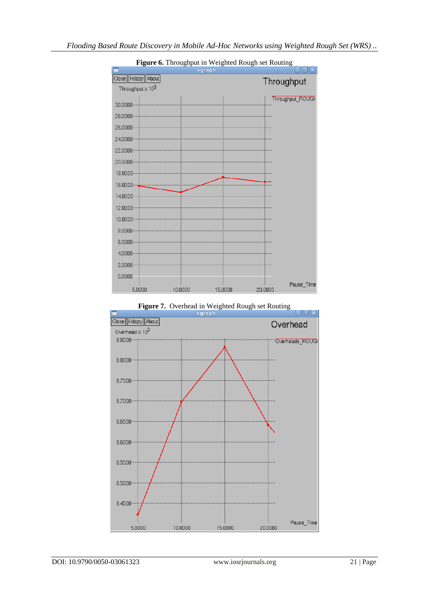



**Figure 7.** Overhead in Weighted Rough set Routing

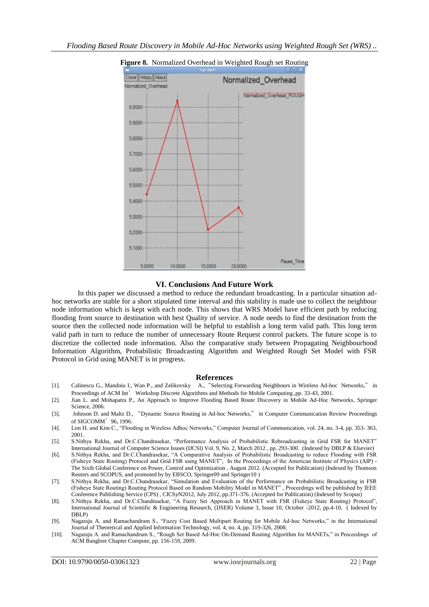

#### **Figure 8.** Normalized Overhead in Weighted Rough set Routing

#### **VI. Conclusions And Future Work**

In this paper we discussed a method to reduce the redundant broadcasting. In a particular situation adhoc networks are stable for a short stipulated time interval and this stability is made use to collect the neighbour node information which is kept with each node. This shows that WRS Model have efficient path by reducing flooding from source to destination with best Quality of service. A node needs to find the destination from the source then the collected node information will be helpful to establish a long term valid path. This long term valid path in turn to reduce the number of unnecessary Route Request control packets. The future scope is to discretize the collected node information. Also the comparative study between Propagating Neighbourhood Information Algorithm, Probabilistic Broadcasting Algorithm and Weighted Rough Set Model with FSR Protocol in Grid using MANET is in progress.

#### **References**

- [1]. Calinescu G., Mandoiu I., Wan P., and Zelikovsky A.,"Selecting Forwarding Neighbours in Wireless Ad-hoc Networks," in Proceedings of ACM Int' Workshop Discrete Algorithms and Methods for Mobile Computing ,pp. 33-43, 2001.
- [2]. Jian L. and Mohapatra P., An Approach to Improve Flooding Based Route Discovery in Mobile Ad-Hoc Networks, Springer Science, 2006.
- [3]. Johnson D. and Maltz D., "Dynamic Source Routing in Ad-hoc Networks," in Computer Communication Review Proceedings of SIGCOMM'96, 1996.
- [4]. Lim H. and Kim C., "Flooding in Wireless Adhoc Networks," Computer Journal of Communication, vol. 24, no. 3-4, pp. 353- 363, 2001.
- [5]. S.Nithya Rekha, and Dr.C.Chandrasekar, "Performance Analysis of Probabilistic Rebroadcasting in Grid FSR for MANET" International Journal of Computer Science Issues (IJCSI) Vol. 9, No. 2, March 2012 , pp. 293-300. (Indexed by DBLP & Elsevier)
- [6]. S.Nithya Rekha, and Dr.C.Chandrasekar, "A Comparative Analysis of Probabilistic Broadcasting to reduce Flooding with FSR (Fisheye State Routing) Protocol and Grid FSR using MANET", In the Proceedings of the American Institute of Physics (AIP) - The Sixth Global Conference on Power, Control and Optimization , August 2012. (Accepted for Publication) (Indexed by Thomson Reuters an[d SCOPUS,](http://www.pcoglobal.com/dubai/scopus.pdf) and promoted by b[y EBSCO,](http://www.ebsco.com/eis/books/ProductDetails.asp?CatalogID=10506445) [Springer09](http://www.springer.com/engineering/book/978-0-7354-0696-4) [and Springer10](http://www.springer.com/engineering/book/978-0-7354-0696-4) )
- [7]. S.Nithya Rekha, and Dr.C.Chandrasekar, "Simulation and Evaluation of the Performance on Probabilistic Broadcasting in FSR (Fisheye State Routing) Routing Protocol Based on Random Mobility Model in MANET" , Proceedings will be published by IEEE [Conference Publishing Service \(CPS\)](http://www.computer.org/portal/web/cscps/home?&pName=cscps_level1&path=cscps/cps&file=cps_forms.xml&xsl=generic.xsl&) , CICSyN2012, July 2012, pp.371-376. (Accepted for Publication) (Indexed by Scopus)
- [8]. S.Nithya Rekha, and Dr.C.Chandrasekar, "A Fuzzy Set Approach in MANET with FSR (Fisheye State Routing) Protocol", International Journal of Scientific & Engineering Research, (IJSER) Volume 3, Issue 10, October -2012, pp.4-10. ( Indexed by DBLP)
- [9]. Nagaraju A. and Ramachandram S., "Fuzzy Cost Based Multipart Routing for Mobile Ad-hoc Networks," in the International Journal of Theoretical and Applied Information Technology, vol. 4, no. 4, pp. 319-326, 2008.
- [10]. Nagaraju A. and Ramachandram S., "Rough Set Based Ad-Hoc On-Demand Routing Algorithm for MANETs," in Proceedings of ACM Banglore Chapter Compute, pp. 156-159, 2009.